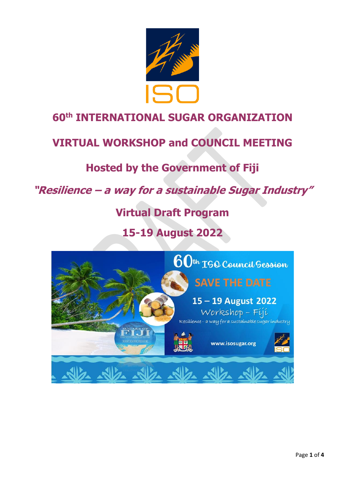

## **60th INTERNATIONAL SUGAR ORGANIZATION**

## **VIRTUAL WORKSHOP and COUNCIL MEETING**

## **Hosted by the Government of Fiji**

## **"Resilience – a way for a sustainable Sugar Industry"**

# **Virtual Draft Program**

## **15-19 August 2022**

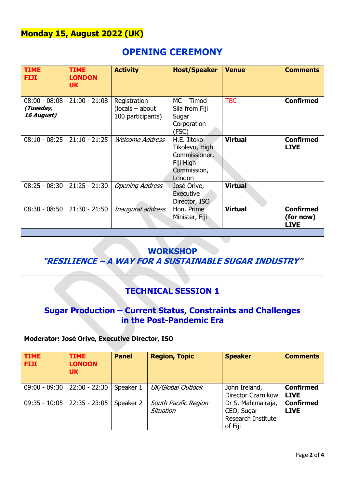### **Monday 15, August 2022 (UK)**

| <b>OPENING CEREMONY</b>                    |                                           |                                                        |                                                                                      |                |                                              |  |  |
|--------------------------------------------|-------------------------------------------|--------------------------------------------------------|--------------------------------------------------------------------------------------|----------------|----------------------------------------------|--|--|
| <b>TIME</b><br><b>FIJI</b>                 | <b>TIME</b><br><b>LONDON</b><br><b>UK</b> | <b>Activity</b>                                        | <b>Host/Speaker</b>                                                                  | <b>Venue</b>   | <b>Comments</b>                              |  |  |
| $08:00 - 08:08$<br>(Tuesday,<br>16 August) | $21:00 - 21:08$                           | Registration<br>$(locals - about$<br>100 participants) | $MC - Timoci$<br>Sila from Fiji<br>Sugar<br>Corporation<br>(FSC)                     | <b>TBC</b>     | <b>Confirmed</b>                             |  |  |
| $08:10 - 08:25$                            | $21:10 - 21:25$                           | <b>Welcome Address</b>                                 | H.E. Jitoko<br>Tikolevu, High<br>Commissioner,<br>Fiji High<br>Commission,<br>London | <b>Virtual</b> | <b>Confirmed</b><br><b>LIVE</b>              |  |  |
| $08:25 - 08:30$                            | $21:25 - 21:30$                           | <b>Opening Address</b>                                 | José Orive,<br>Executive<br>Director, ISO                                            | <b>Virtual</b> |                                              |  |  |
| $08:30 - 08:50$                            | $21:30 - 21:50$                           | Inaugural address                                      | Hon. Prime<br>Minister, Fiji                                                         | <b>Virtual</b> | <b>Confirmed</b><br>(for now)<br><b>LIVE</b> |  |  |

#### **WORKSHOP**

**"RESILIENCE – A WAY FOR A SUSTAINABLE SUGAR INDUSTRY"**

## **TECHNICAL SESSION 1**

### **Sugar Production – Current Status, Constraints and Challenges in the Post-Pandemic Era**

# **Moderator: José Orive, Executive Director, ISO**

| <b>TIME</b><br><b>FIJI</b> | <b>TIME</b><br><b>LONDON</b><br><b>UK</b> | <b>Panel</b> | <b>Region, Topic</b>              | <b>Speaker</b>                                                    | <b>Comments</b>                 |
|----------------------------|-------------------------------------------|--------------|-----------------------------------|-------------------------------------------------------------------|---------------------------------|
|                            | $09:00 - 09:30$   22:00 - 22:30           | Speaker 1    | UK/Global Outlook                 | John Ireland,<br>Director Czarnikow                               | <b>Confirmed</b><br><b>LIVE</b> |
| $09:35 - 10:05$            | 22:35 - 23:05                             | Speaker 2    | South Pacific Region<br>Situation | Dr S. Mahimairaja,<br>CEO, Sugar<br>Research Institute<br>of Fiji | <b>Confirmed</b><br><b>LIVE</b> |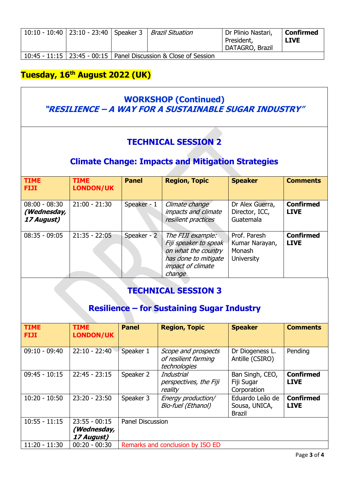|  |  | 10:10 - 10:40   23:10 - 23:40   Speaker 3   <i>Brazil Situation</i> | Dr Plinio Nastari,<br>President,<br>  DATAGRO, Brazil | Confirmed<br><b>LIVE</b> |
|--|--|---------------------------------------------------------------------|-------------------------------------------------------|--------------------------|
|  |  | 10:45 - 11:15   23:45 - 00:15   Panel Discussion & Close of Session |                                                       |                          |

### **Tuesday, 16th August 2022 (UK)**

### **WORKSHOP (Continued) "RESILIENCE – A WAY FOR A SUSTAINABLE SUGAR INDUSTRY"**

## **TECHNICAL SESSION 2**

### **Climate Change: Impacts and Mitigation Strategies**

| <b>TIME</b><br><b>FIJI</b>                   | <b>TIME</b><br><b>LONDON/UK</b> | <b>Panel</b> | <b>Region, Topic</b>                                                                                                     | <b>Speaker</b>                                                | <b>Comments</b>                 |
|----------------------------------------------|---------------------------------|--------------|--------------------------------------------------------------------------------------------------------------------------|---------------------------------------------------------------|---------------------------------|
| $08:00 - 08:30$<br>(Wednesday,<br>17 August) | $21:00 - 21:30$                 | Speaker - 1  | Climate change<br>impacts and climate<br>resilient practices                                                             | Dr Alex Guerra,<br>Director, ICC,<br>Guatemala                | <b>Confirmed</b><br><b>LIVE</b> |
| $08:35 - 09:05$                              | $21:35 - 22:05$                 | Speaker - 2  | The FIJI example:<br>Fiji speaker to speak<br>on what the country<br>has done to mitigate<br>impact of climate<br>change | Prof. Paresh<br>Kumar Narayan,<br>Monash<br><b>University</b> | <b>Confirmed</b><br><b>LIVE</b> |

### **TECHNICAL SESSION 3**

## **Resilience – for Sustaining Sugar Industry**

| <b>TIME</b><br><b>FIJI</b> | <b>TIME</b><br><b>LONDON/UK</b>              | <b>Panel</b>                     | <b>Region, Topic</b>                                        | <b>Speaker</b>                                    | <b>Comments</b>                 |  |
|----------------------------|----------------------------------------------|----------------------------------|-------------------------------------------------------------|---------------------------------------------------|---------------------------------|--|
| $09:10 - 09:40$            | $22:10 - 22:40$                              | Speaker 1                        | Scope and prospects<br>of resilient farming<br>technologies | Dr Diogeness L.<br>Antille (CSIRO)                | Pending                         |  |
| $09:45 - 10:15$            | $22:45 - 23:15$                              | Speaker 2                        | Industrial<br>perspectives, the Fiji<br>reality             | Ban Singh, CEO,<br>Fiji Sugar<br>Corporation      | <b>Confirmed</b><br><b>LIVE</b> |  |
| $10:20 - 10:50$            | $23:20 - 23:50$                              | Speaker 3                        | Energy production/<br>Bio-fuel (Ethanol)                    | Eduardo Leão de<br>Sousa, UNICA,<br><b>Brazil</b> | <b>Confirmed</b><br><b>LIVE</b> |  |
| $10:55 - 11:15$            | $23:55 - 00:15$<br>(Wednesday,<br>17 August) | <b>Panel Discussion</b>          |                                                             |                                                   |                                 |  |
| $11:20 - 11:30$            | $00:20 - 00:30$                              | Remarks and conclusion by ISO ED |                                                             |                                                   |                                 |  |